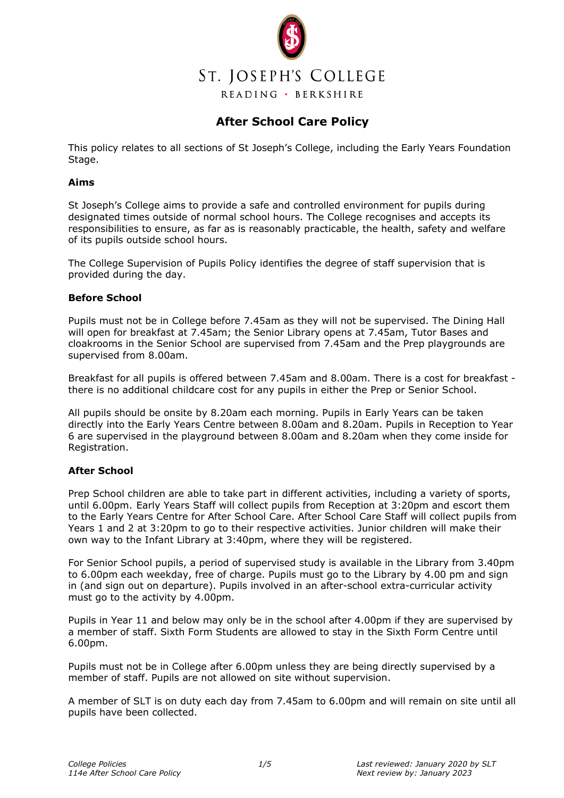

# **After School Care Policy**

This policy relates to all sections of St Joseph's College, including the Early Years Foundation Stage.

#### **Aims**

St Joseph's College aims to provide a safe and controlled environment for pupils during designated times outside of normal school hours. The College recognises and accepts its responsibilities to ensure, as far as is reasonably practicable, the health, safety and welfare of its pupils outside school hours.

The College Supervision of Pupils Policy identifies the degree of staff supervision that is provided during the day.

## **Before School**

Pupils must not be in College before 7.45am as they will not be supervised. The Dining Hall will open for breakfast at 7.45am; the Senior Library opens at 7.45am, Tutor Bases and cloakrooms in the Senior School are supervised from 7.45am and the Prep playgrounds are supervised from 8.00am.

Breakfast for all pupils is offered between 7.45am and 8.00am. There is a cost for breakfast there is no additional childcare cost for any pupils in either the Prep or Senior School.

All pupils should be onsite by 8.20am each morning. Pupils in Early Years can be taken directly into the Early Years Centre between 8.00am and 8.20am. Pupils in Reception to Year 6 are supervised in the playground between 8.00am and 8.20am when they come inside for Registration.

#### **After School**

Prep School children are able to take part in different activities, including a variety of sports, until 6.00pm. Early Years Staff will collect pupils from Reception at 3:20pm and escort them to the Early Years Centre for After School Care. After School Care Staff will collect pupils from Years 1 and 2 at 3:20pm to go to their respective activities. Junior children will make their own way to the Infant Library at 3:40pm, where they will be registered.

For Senior School pupils, a period of supervised study is available in the Library from 3.40pm to 6.00pm each weekday, free of charge. Pupils must go to the Library by 4.00 pm and sign in (and sign out on departure). Pupils involved in an after-school extra-curricular activity must go to the activity by 4.00pm.

Pupils in Year 11 and below may only be in the school after 4.00pm if they are supervised by a member of staff. Sixth Form Students are allowed to stay in the Sixth Form Centre until 6.00pm.

Pupils must not be in College after 6.00pm unless they are being directly supervised by a member of staff. Pupils are not allowed on site without supervision.

A member of SLT is on duty each day from 7.45am to 6.00pm and will remain on site until all pupils have been collected.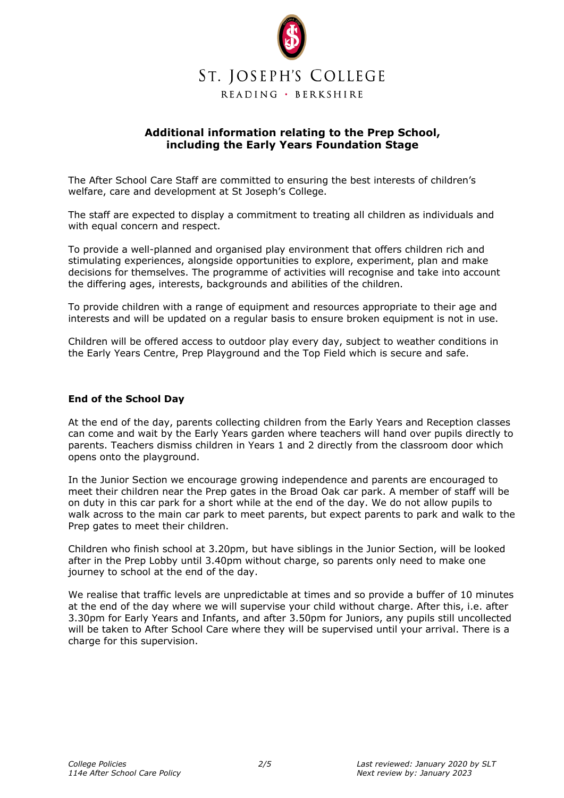

## **Additional information relating to the Prep School, including the Early Years Foundation Stage**

The After School Care Staff are committed to ensuring the best interests of children's welfare, care and development at St Joseph's College.

The staff are expected to display a commitment to treating all children as individuals and with equal concern and respect.

To provide a well-planned and organised play environment that offers children rich and stimulating experiences, alongside opportunities to explore, experiment, plan and make decisions for themselves. The programme of activities will recognise and take into account the differing ages, interests, backgrounds and abilities of the children.

To provide children with a range of equipment and resources appropriate to their age and interests and will be updated on a regular basis to ensure broken equipment is not in use.

Children will be offered access to outdoor play every day, subject to weather conditions in the Early Years Centre, Prep Playground and the Top Field which is secure and safe.

#### **End of the School Day**

At the end of the day, parents collecting children from the Early Years and Reception classes can come and wait by the Early Years garden where teachers will hand over pupils directly to parents. Teachers dismiss children in Years 1 and 2 directly from the classroom door which opens onto the playground.

In the Junior Section we encourage growing independence and parents are encouraged to meet their children near the Prep gates in the Broad Oak car park. A member of staff will be on duty in this car park for a short while at the end of the day. We do not allow pupils to walk across to the main car park to meet parents, but expect parents to park and walk to the Prep gates to meet their children.

Children who finish school at 3.20pm, but have siblings in the Junior Section, will be looked after in the Prep Lobby until 3.40pm without charge, so parents only need to make one journey to school at the end of the day.

We realise that traffic levels are unpredictable at times and so provide a buffer of 10 minutes at the end of the day where we will supervise your child without charge. After this, i.e. after 3.30pm for Early Years and Infants, and after 3.50pm for Juniors, any pupils still uncollected will be taken to After School Care where they will be supervised until your arrival. There is a charge for this supervision.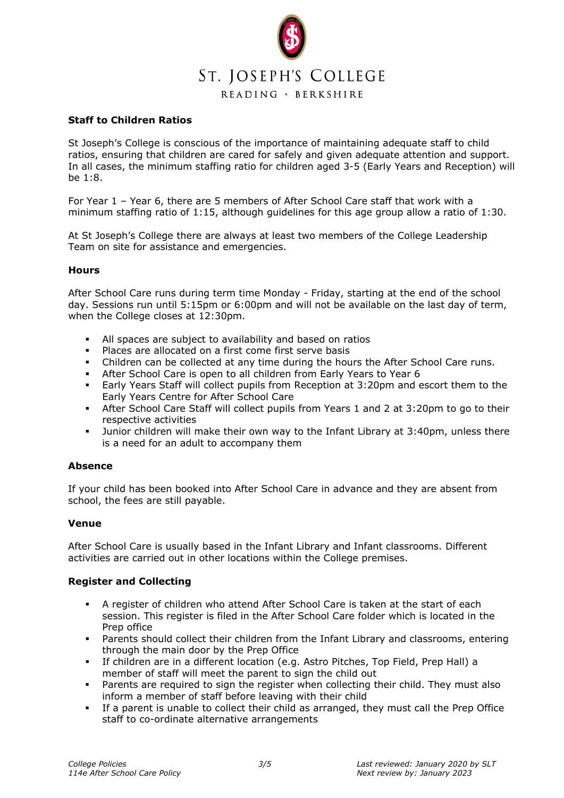

## **Staff to Children Ratios**

St Joseph's College is conscious of the importance of maintaining adequate staff to child ratios, ensuring that children are cared for safely and given adequate attention and support. In all cases, the minimum staffing ratio for children aged 3-5 (Early Years and Reception) will be 1:8.

For Year 1 – Year 6, there are 5 members of After School Care staff that work with a minimum staffing ratio of 1:15, although guidelines for this age group allow a ratio of 1:30.

At St Joseph's College there are always at least two members of the College Leadership Team on site for assistance and emergencies.

#### **Hours**

After School Care runs during term time Monday - Friday, starting at the end of the school day. Sessions run until 5:15pm or 6:00pm and will not be available on the last day of term, when the College closes at 12:30pm.

- All spaces are subject to availability and based on ratios<br>• Places are allocated on a first come first serve basis
- Places are allocated on a first come first serve basis
- Children can be collected at any time during the hours the After School Care runs.
- After School Care is open to all children from Early Years to Year 6
- Early Years Staff will collect pupils from Reception at 3:20pm and escort them to the Early Years Centre for After School Care
- After School Care Staff will collect pupils from Years 1 and 2 at 3:20pm to go to their respective activities
- Junior children will make their own way to the Infant Library at 3:40pm, unless there is a need for an adult to accompany them

#### **Absence**

If your child has been booked into After School Care in advance and they are absent from school, the fees are still payable.

#### **Venue**

After School Care is usually based in the Infant Library and Infant classrooms. Different activities are carried out in other locations within the College premises.

## **Register and Collecting**

- A register of children who attend After School Care is taken at the start of each session. This register is filed in the After School Care folder which is located in the Prep office
- Parents should collect their children from the Infant Library and classrooms, entering through the main door by the Prep Office
- If children are in a different location (e.g. Astro Pitches, Top Field, Prep Hall) a member of staff will meet the parent to sign the child out
- Parents are required to sign the register when collecting their child. They must also inform a member of staff before leaving with their child
- If a parent is unable to collect their child as arranged, they must call the Prep Office staff to co-ordinate alternative arrangements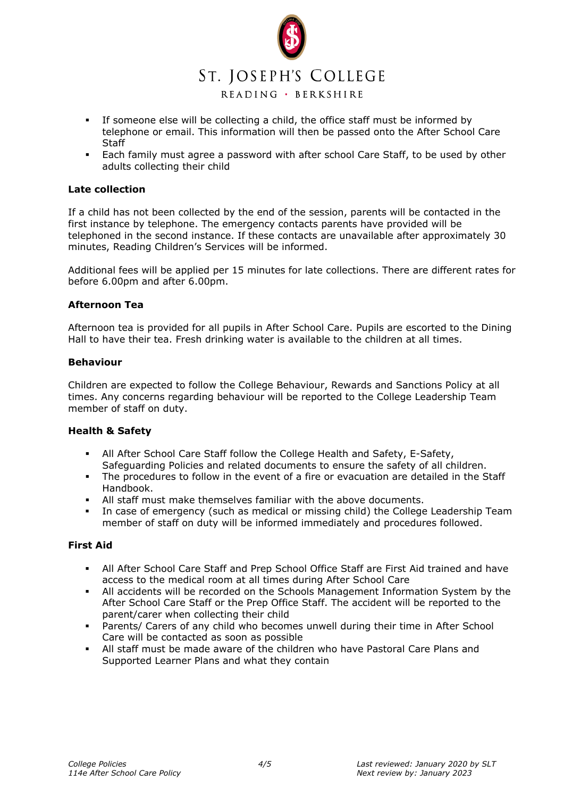

READING · BERKSHIRE

- If someone else will be collecting a child, the office staff must be informed by telephone or email. This information will then be passed onto the After School Care Staff
- Each family must agree a password with after school Care Staff, to be used by other adults collecting their child

#### **Late collection**

If a child has not been collected by the end of the session, parents will be contacted in the first instance by telephone. The emergency contacts parents have provided will be telephoned in the second instance. If these contacts are unavailable after approximately 30 minutes, Reading Children's Services will be informed.

Additional fees will be applied per 15 minutes for late collections. There are different rates for before 6.00pm and after 6.00pm.

## **Afternoon Tea**

Afternoon tea is provided for all pupils in After School Care. Pupils are escorted to the Dining Hall to have their tea. Fresh drinking water is available to the children at all times.

#### **Behaviour**

Children are expected to follow the College Behaviour, Rewards and Sanctions Policy at all times. Any concerns regarding behaviour will be reported to the College Leadership Team member of staff on duty.

#### **Health & Safety**

- All After School Care Staff follow the College Health and Safety, E-Safety, Safeguarding Policies and related documents to ensure the safety of all children.
- The procedures to follow in the event of a fire or evacuation are detailed in the Staff Handbook.
- All staff must make themselves familiar with the above documents.
- In case of emergency (such as medical or missing child) the College Leadership Team member of staff on duty will be informed immediately and procedures followed.

## **First Aid**

- All After School Care Staff and Prep School Office Staff are First Aid trained and have access to the medical room at all times during After School Care
- All accidents will be recorded on the Schools Management Information System by the After School Care Staff or the Prep Office Staff. The accident will be reported to the parent/carer when collecting their child
- Parents/ Carers of any child who becomes unwell during their time in After School Care will be contacted as soon as possible
- All staff must be made aware of the children who have Pastoral Care Plans and Supported Learner Plans and what they contain